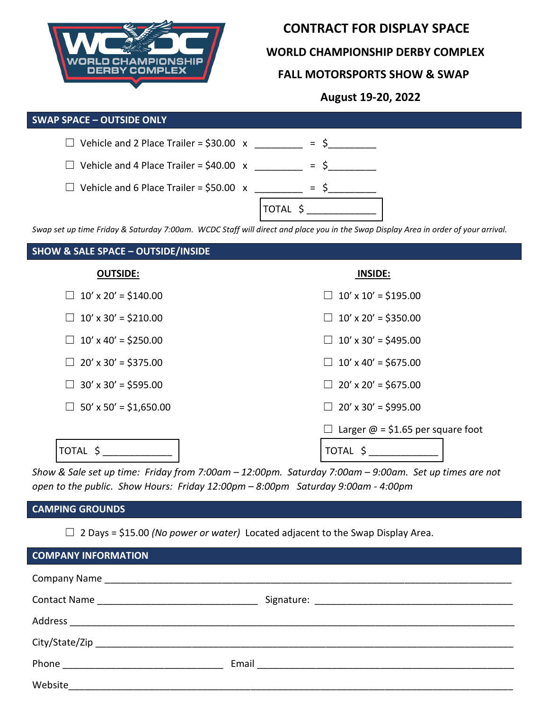

### **CONTRACT FOR DISPLAY SPACE**

 **WORLD CHAMPIONSHIP DERBY COMPLEX**

### **FALL MOTORSPORTS SHOW & SWAP**

 **August 19-20, 2022**

#### **SWAP SPACE – OUTSIDE ONLY**

| $\Box$ Vehicle and 2 Place Trailer = \$30.00 x |              |
|------------------------------------------------|--------------|
| $\Box$ Vehicle and 4 Place Trailer = \$40.00 x |              |
| $\Box$ Vehicle and 6 Place Trailer = \$50.00 x |              |
|                                                | <b>TOTAL</b> |

*Swap set up time Friday & Saturday 7:00am. WCDC Staff will direct and place you in the Swap Display Area in order of your arrival.* 

# **SHOW & SALE SPACE – OUTSIDE/INSIDE OUTSIDE: INSIDE:**  $\Box$  10' x 20' = \$140.00  $\Box$  10' x 10' = \$195.00  $\Box$  10' x 30' = \$210.00  $\Box$  10' x 20' = \$350.00  $\Box$  10' x 40' = \$250.00  $\Box$  10' x 30' = \$495.00  $\Box$  20' x 30' = \$375.00  $\Box$  10' x 40' = \$675.00  $\Box$  30' x 30' = \$595.00  $\Box$  20' x 20' = \$675.00  $\Box$  50' x 50' = \$1,650.00  $\Box$  20' x 30' = \$995.00 □ Larger  $\omega$  = \$1.65 per square foot TOTAL \$ \_\_\_\_\_\_\_\_\_\_\_\_\_ TOTAL \$ \_\_\_\_\_\_\_\_\_\_\_\_\_

*Show & Sale set up time: Friday from 7:00am – 12:00pm. Saturday 7:00am – 9:00am. Set up times are not open to the public. Show Hours: Friday 12:00pm – 8:00pm Saturday 9:00am - 4:00pm*

# **CAMPING GROUNDS**

☐ 2 Days = \$15.00 *(No power or water)* Located adjacent to the Swap Display Area.

| <b>COMPANY INFORMATION</b>                       |  |  |  |
|--------------------------------------------------|--|--|--|
|                                                  |  |  |  |
|                                                  |  |  |  |
|                                                  |  |  |  |
|                                                  |  |  |  |
| Phone <u>___________________________________</u> |  |  |  |
| Website                                          |  |  |  |